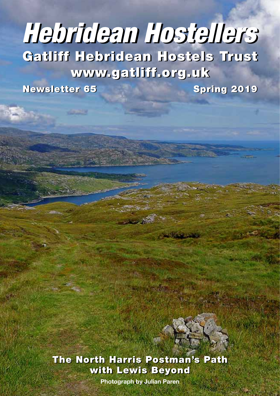# Gatliff Hebridean Hostels Trust Gatliff Hebridean Hostels Trust www.gatliff.org.uk www.gatliff.org.uk *Hebridean Hostellers Hebridean Hostellers*

**Newsletter 65** 

Spring 2019



**• 1 • Photograph by Julian Paren**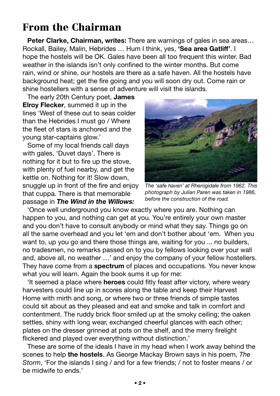# From the Chairman

**Peter Clarke, Chairman, writes:** There are warnings of gales in sea areas… Rockall, Bailey, Malin, Hebrides … Hum I think, yes, **'Sea area Gatliff'**. I hope the hostels will be OK. Gales have been all too frequent this winter. Bad weather in the islands isn't only confined to the winter months. But come rain, wind or shine, our hostels are there as a safe haven. All the hostels have background heat; get the fire going and you will soon dry out. Come rain or shine hostellers with a sense of adventure will visit the islands.

The early 20th Century poet, **James Elroy Flecker**, summed it up in the lines 'West of these out to seas colder than the Hebrides I must go / Where the fleet of stars is anchored and the young star-captains glow.'

Some of my local friends call days with gales, 'Duvet days'. There is nothing for it but to fire up the stove, with plenty of fuel nearby, and get the kettle on. Nothing for it! Slow down, snuggle up in front of the fire and enjoy that cuppa. There is that memorable passage in *The Wind in the Willows:*



*The 'safe haven' at Rhenigidale from 1962. This photograph by Julian Paren was taken in 1986, before the construction of the road.* 

'Once well underground you know exactly where you are. Nothing can happen to you, and nothing can get at you. You're entirely your own master and you don't have to consult anybody or mind what they say. Things go on all the same overhead and you let 'em and don't bother about 'em. When you want to, up you go and there those things are, waiting for you ... no builders, no tradesmen, no remarks passed on to you by fellows looking over your wall and, above all, no weather …' and enjoy the company of your fellow hostellers. They have come from a **spectrum** of places and occupations. You never know what you will learn. Again the book sums it up for me:

'It seemed a place where **heroes** could fitly feast after victory, where weary harvesters could line up in scores along the table and keep their Harvest Home with mirth and song, or where two or three friends of simple tastes could sit about as they pleased and eat and smoke and talk in comfort and contentment. The ruddy brick floor smiled up at the smoky ceiling; the oaken settles, shiny with long wear, exchanged cheerful glances with each other; plates on the dresser grinned at pots on the shelf, and the merry firelight flickered and played over everything without distinction.'

These are some of the ideals I have in my head when I work away behind the scenes to help **the hostels**. As George Mackay Brown says in his poem, *The Storm*, 'For the islands I sing / and for a few friends; / not to foster means / or be midwife to ends.'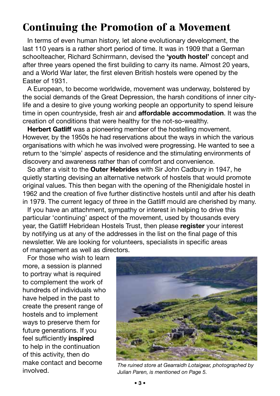## Continuing the Promotion of a Movement

In terms of even human history, let alone evolutionary development, the last 110 years is a rather short period of time. It was in 1909 that a German schoolteacher, Richard Schirrmann, devised the **'youth hostel'** concept and after three years opened the first building to carry its name. Almost 20 years, and a World War later, the first eleven British hostels were opened by the Easter of 1931.

A European, to become worldwide, movement was underway, bolstered by the social demands of the Great Depression, the harsh conditions of inner citylife and a desire to give young working people an opportunity to spend leisure time in open countryside, fresh air and **affordable accommodation**. It was the creation of conditions that were healthy for the not-so-wealthy.

**Herbert Gatliff** was a pioneering member of the hostelling movement. However, by the 1950s he had reservations about the ways in which the various organisations with which he was involved were progressing. He wanted to see a return to the 'simple' aspects of residence and the stimulating environments of discovery and awareness rather than of comfort and convenience.

So after a visit to the **Outer Hebrides** with Sir John Cadbury in 1947, he quietly starting devising an alternative network of hostels that would promote original values. This then began with the opening of the Rhenigidale hostel in 1962 and the creation of five further distinctive hostels until and after his death in 1979. The current legacy of three in the Gatliff mould are cherished by many.

If you have an attachment, sympathy or interest in helping to drive this particular 'continuing' aspect of the movement, used by thousands every year, the Gatliff Hebridean Hostels Trust, then please **register** your interest by notifying us at any of the addresses in the list on the final page of this newsletter. We are looking for volunteers, specialists in specific areas of management as well as directors.

For those who wish to learn more, a session is planned to portray what is required to complement the work of hundreds of individuals who have helped in the past to create the present range of hostels and to implement ways to preserve them for future generations. If you feel sufficiently **inspired** to help in the continuation of this activity, then do make contact and become



involved. *The ruined store at Gearraidh Lotaigear, photographed by Julian Paren, is mentioned on Page 5.*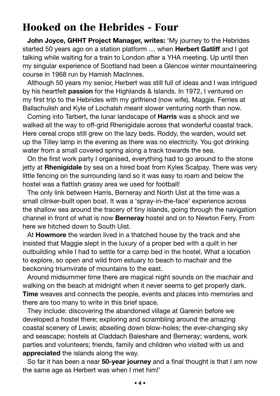## Hooked on the Hebrides - Four

**John Joyce, GHHT Project Manager, writes:** 'My journey to the Hebrides started 50 years ago on a station platform … when **Herbert Gatliff** and I got talking while waiting for a train to London after a YHA meeting. Up until then my singular experience of Scotland had been a Glencoe winter mountaineering course in 1968 run by Hamish MacInnes.

Although 50 years my senior, Herbert was still full of ideas and I was intrigued by his heartfelt **passion** for the Highlands & Islands. In 1972, I ventured on my first trip to the Hebrides with my girlfriend (now wife), Maggie. Ferries at Ballachulish and Kyle of Lochalsh meant slower venturing north than now.

Coming into Tarbert, the lunar landscape of **Harris** was a shock and we walked all the way to off-grid Rhenigidale across that wonderful coastal track. Here cereal crops still grew on the lazy beds. Roddy, the warden, would set up the Tilley lamp in the evening as there was no electricity. You got drinking water from a small covered spring along a track towards the sea.

On the first work party I organised, everything had to go around to the stone jetty at **Rhenigidale** by sea on a hired boat from Kyles Scalpay. There was very little fencing on the surrounding land so it was easy to roam and below the hostel was a flattish grassy area we used for football!

The only link between Harris, Berneray and North Uist at the time was a small clinker-built open boat. It was a 'spray-in-the-face' experience across the shallow sea around the tracery of tiny islands, going through the navigation channel in front of what is now **Berneray** hostel and on to Newton Ferry. From here we hitched down to South Uist.

At **Howmore** the warden lived in a thatched house by the track and she insisted that Maggie slept in the luxury of a proper bed with a quilt in her outbuilding while I had to settle for a camp bed in the hostel. What a location to explore, so open and wild from estuary to beach to machair and the beckoning triumvirate of mountains to the east.

Around midsummer time there are magical night sounds on the machair and walking on the beach at midnight when it never seems to get properly dark. **Time** weaves and connects the people, events and places into memories and there are too many to write in this brief space.

They include: discovering the abandoned village at Garenin before we developed a hostel there; exploring and scrambling around the amazing coastal scenery of Lewis; abseiling down blow-holes; the ever-changing sky and seascape; hostels at Claddach Baleshare and Berneray; wardens, work parties and volunteers; friends, family and children who visited with us and **appreciated** the islands along the way.

So far it has been a near **50-year journey** and a final thought is that I am now the same age as Herbert was when I met him!'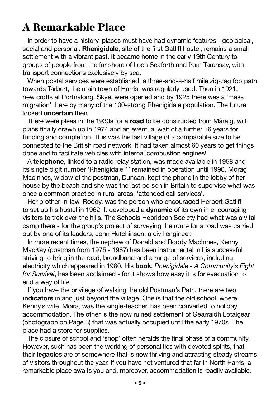## A Remarkable Place

In order to have a history, places must have had dynamic features - geological, social and personal. **Rhenigidale**, site of the first Gatliff hostel, remains a small settlement with a vibrant past. It became home in the early 19th Century to groups of people from the far shore of Loch Seaforth and from Taransay, with transport connections exclusively by sea.

When postal services were established, a three-and-a-half mile zig-zag footpath towards Tarbert, the main town of Harris, was regularly used. Then in 1921, new crofts at Portnalong, Skye, were opened and by 1925 there was a 'mass migration' there by many of the 100-strong Rhenigidale population. The future looked **uncertain** then.

There were pleas in the 1930s for a **road** to be constructed from Màraig, with plans finally drawn up in 1974 and an eventual wait of a further 16 years for funding and completion. This was the last village of a comparable size to be connected to the British road network. It had taken almost 60 years to get things done and to facilitate vehicles with internal combustion engines!

A **telephone**, linked to a radio relay station, was made available in 1958 and its single digit number 'Rhenigidale 1' remained in operation until 1990. Morag MacInnes, widow of the postman, Duncan, kept the phone in the lobby of her house by the beach and she was the last person in Britain to supervise what was once a common practice in rural areas, 'attended call services'.

Her brother-in-law, Roddy, was the person who encouraged Herbert Gatliff to set up his hostel in 1962. It developed a **dynamic** of its own in encouraging visitors to trek over the hills. The Schools Hebridean Society had what was a vital camp there - for the group's project of surveying the route for a road was carried out by one of its leaders, John Hutchinson, a civil engineer.

In more recent times, the nephew of Donald and Roddy MacInnes, Kenny MacKay (postman from 1975 - 1987) has been instrumental in his successful striving to bring in the road, broadband and a range of services, including electricity which appeared in 1980. His **book**, *Rhenigidale - A Community's Fight for Survival*, has been acclaimed - for it shows how easy it is for evacuation to end a way of life.

If you have the privilege of walking the old Postman's Path, there are two **indicators** in and just beyond the village. One is that the old school, where Kenny's wife, Moira, was the single-teacher, has been converted to holiday accommodation. The other is the now ruined settlement of Gearraidh Lotaigear (photograph on Page 3) that was actually occupied until the early 1970s. The place had a store for supplies.

The closure of school and 'shop' often heralds the final phase of a community. However, such has been the working of personalities with devoted spirits, that their **legacies** are of somewhere that is now thriving and attracting steady streams of visitors throughout the year. If you have not ventured that far in North Harris, a remarkable place awaits you and, moreover, accommodation is readily available.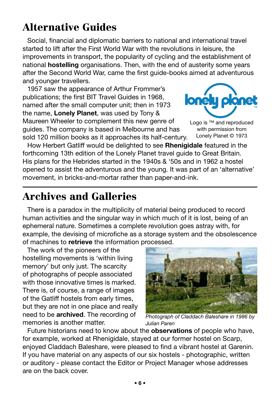# Alternative Guides

Social, financial and diplomatic barriers to national and international travel started to lift after the First World War with the revolutions in leisure, the improvements in transport, the popularity of cycling and the establishment of national **hostelling** organisations. Then, with the end of austerity some years after the Second World War, came the first guide-books aimed at adventurous and younger travellers.

1957 saw the appearance of Arthur Frommer's publications; the first BIT Travel Guides in 1968, named after the small computer unit; then in 1973 the name, **Lonely Planet**, was used by Tony & Maureen Wheeler to complement this new genre of guides. The company is based in Melbourne and has sold 120 million books as it approaches its half-century.



Logo is ™ and reproduced with permission from Lonely Planet © 1973

How Herbert Gatliff would be delighted to see **Rhenigidale** featured in the forthcoming 13th edition of the Lonely Planet travel guide to Great Britain. His plans for the Hebrides started in the 1940s & '50s and in 1962 a hostel opened to assist the adventurous and the young. It was part of an 'alternative' movement, in bricks-and-mortar rather than paper-and-ink.

## Archives and Galleries

There is a paradox in the multiplicity of material being produced to record human activities and the singular way in which much of it is lost, being of an ephemeral nature. Sometimes a complete revolution goes astray with, for example, the devising of microfiche as a storage system and the obsolescence of machines to **retrieve** the information processed.

The work of the pioneers of the hostelling movements is 'within living memory' but only just. The scarcity of photographs of people associated with those innovative times is marked. There is, of course, a range of images of the Gatliff hostels from early times, but they are not in one place and really need to be **archived**. The recording of memories is another matter.



*Photograph of Claddach Baleshare in 1986 by Julian Paren*

Future historians need to know about the **observations** of people who have, for example, worked at Rhenigidale, stayed at our former hostel on Scarp, enjoyed Claddach Baleshare, were pleased to find a vibrant hostel at Garenin. If you have material on any aspects of our six hostels - photographic, written or auditory - please contact the Editor or Project Manager whose addresses are on the back cover.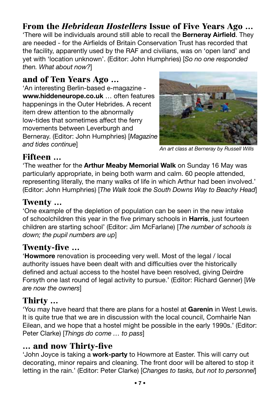#### From the *Hebridean Hostellers* Issue of Five Years Ago … 'There will be individuals around still able to recall the **Berneray Airfield**. They are needed - for the Airfields of Britain Conservation Trust has recorded that the facility, apparently used by the RAF and civilians, was on 'open land' and yet with 'location unknown'. (Editor: John Humphries) [*So no one responded then. What about now?*]

#### and of Ten Years Ago …

'An interesting Berlin-based e-magazine **www.hiddeneurope.co.uk** … often features happenings in the Outer Hebrides. A recent item drew attention to the abnormally low-tides that sometimes affect the ferry movements between Leverburgh and Berneray. (Editor: John Humphries) [*Magazine and tides continue*]



*An art class at Berneray by Russell Wills*

## Fifteen …

'The weather for the **Arthur Meaby Memorial Walk** on Sunday 16 May was particularly appropriate, in being both warm and calm. 60 people attended, representing literally, the many walks of life in which Arthur had been involved.' (Editor: John Humphries) [*The Walk took the South Downs Way to Beachy Head*]

### Twenty …

'One example of the depletion of population can be seen in the new intake of schoolchildren this year in the five primary schools in **Harris**, just fourteen children are starting school' (Editor: Jim McFarlane) [*The number of schools is down; the pupil numbers are up*]

## Twenty-five …

'**Howmore** renovation is proceeding very well. Most of the legal / local authority issues have been dealt with and difficulties over the historically defined and actual access to the hostel have been resolved, giving Deirdre Forsyth one last round of legal activity to pursue.' (Editor: Richard Genner) [*We are now the owners*]

## Thirty …

'You may have heard that there are plans for a hostel at **Garenin** in West Lewis. It is quite true that we are in discussion with the local council, Comhairle Nan Eilean, and we hope that a hostel might be possible in the early 1990s.' (Editor: Peter Clarke) [*Things do come … to pass*]

#### … and now Thirty-five

'John Joyce is taking a **work-party** to Howmore at Easter. This will carry out decorating, minor repairs and cleaning. The front door will be altered to stop it letting in the rain.' (Editor: Peter Clarke) [*Changes to tasks, but not to personnel*]